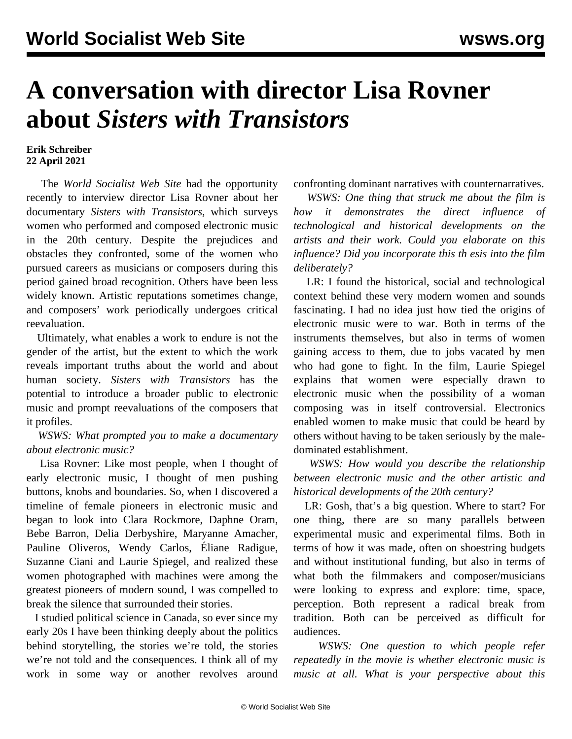# **A conversation with director Lisa Rovner about** *Sisters with Transistors*

### **Erik Schreiber 22 April 2021**

 The *World Socialist Web Site* had the opportunity recently to interview director Lisa Rovner about her documentary *Sisters with Transistors,* which surveys women who performed and composed electronic music in the 20th century. Despite the prejudices and obstacles they confronted, some of the women who pursued careers as musicians or composers during this period gained broad recognition. Others have been less widely known. Artistic reputations sometimes change, and composers' work periodically undergoes critical reevaluation.

 Ultimately, what enables a work to endure is not the gender of the artist, but the extent to which the work reveals important truths about the world and about human society. *Sisters with Transistors* has the potential to introduce a broader public to electronic music and prompt reevaluations of the composers that it profiles.

## *WSWS: What prompted you to make a documentary about electronic music?*

 Lisa Rovner: Like most people, when I thought of early electronic music, I thought of men pushing buttons, knobs and boundaries. So, when I discovered a timeline of female pioneers in electronic music and began to look into Clara Rockmore, Daphne Oram, Bebe Barron, Delia Derbyshire, Maryanne Amacher, Pauline Oliveros, Wendy Carlos, Éliane Radigue, Suzanne Ciani and Laurie Spiegel, and realized these women photographed with machines were among the greatest pioneers of modern sound, I was compelled to break the silence that surrounded their stories.

 I studied political science in Canada, so ever since my early 20s I have been thinking deeply about the politics behind storytelling, the stories we're told, the stories we're not told and the consequences. I think all of my work in some way or another revolves around confronting dominant narratives with counternarratives.

 *WSWS: One thing that struck me about the film is how it demonstrates the direct influence of technological and historical developments on the artists and their work. Could you elaborate on this influence? Did you incorporate this th esis into the film deliberately?*

 LR: I found the historical, social and technological context behind these very modern women and sounds fascinating. I had no idea just how tied the origins of electronic music were to war. Both in terms of the instruments themselves, but also in terms of women gaining access to them, due to jobs vacated by men who had gone to fight. In the film, Laurie Spiegel explains that women were especially drawn to electronic music when the possibility of a woman composing was in itself controversial. Electronics enabled women to make music that could be heard by others without having to be taken seriously by the maledominated establishment.

 *WSWS: How would you describe the relationship between electronic music and the other artistic and historical developments of the 20th century?*

 LR: Gosh, that's a big question. Where to start? For one thing, there are so many parallels between experimental music and experimental films. Both in terms of how it was made, often on shoestring budgets and without institutional funding, but also in terms of what both the filmmakers and composer/musicians were looking to express and explore: time, space, perception. Both represent a radical break from tradition. Both can be perceived as difficult for audiences.

 *WSWS: One question to which people refer repeatedly in the movie is whether electronic music is music at all. What is your perspective about this*